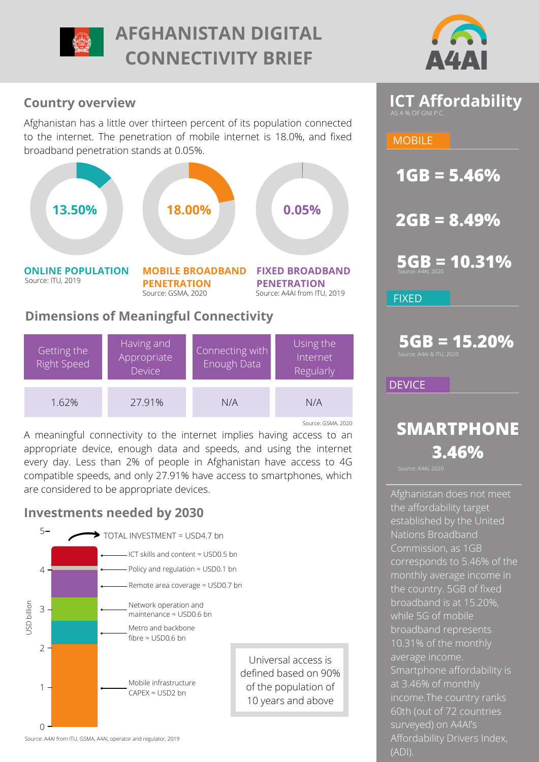

# **AFGHANISTAN DIGITAL CONNECTIVITY BRIEF**



## **Country overview**

Afghanistan has a little over thirteen percent of its population connected to the internet. The penetration of mobile internet is 18.0%, and fixed broadband penetration stands at 0.05%.



## **Dimensions of Meaningful Connectivity**

| Getting the<br><b>Right Speed</b> | Having and<br>Appropriate<br><b>Device</b> | Connecting with<br>Enough Data | Using the<br>Internet<br>Regularly |
|-----------------------------------|--------------------------------------------|--------------------------------|------------------------------------|
| 1.62%                             | 27.91%                                     | N/A                            | N/A                                |
|                                   |                                            |                                | Source: GSMA, 2020                 |

A meaningful connectivity to the internet implies having access to an appropriate device, enough data and speeds, and using the internet every day. Less than 2% of people in Afghanistan have access to 4G compatible speeds, and only 27.91% have access to smartphones, which are considered to be appropriate devices.

# **Investments needed by 2030**



Source: A4AI from ITU, GSMA, A4AI, operator and regulator, 2019

# **ICT Affordability**

## **MOBILE**

**1GB = 5.46%**

**2GB = 8.49%**

**5GB = 10.31%**

**FIXED** 

**5GB = 15.20%** .<br>ce: A4AI & ITU, 202

**DEVICE** 

# **SMARTPHONE 3.46%**

Afghanistan does not meet the affordability target [established by the United](https://www.itu.int/en/mediacentre/Pages/2018-PR01.aspx) Nations Broadband Commission, as 1GB corresponds to 5.46% of the monthly average income in the country. 5GB of fixed broadband is at 15.20%, while 5G of mobile broadband represents 10.31% of the monthly average income. Smartphone affordability is at 3.46% of monthly income.The country ranks 60th (out of 72 countries surveyed) on A4AI's [Affordability Drivers Index,](https://a4ai.org/affordability-report/) (ADI).